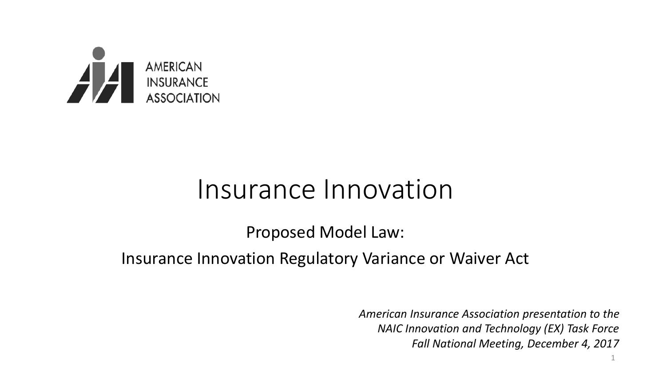

#### Insurance Innovation

Proposed Model Law:

Insurance Innovation Regulatory Variance or Waiver Act

*American Insurance Association presentation to the NAIC Innovation and Technology (EX) Task Force Fall National Meeting, December 4, 2017*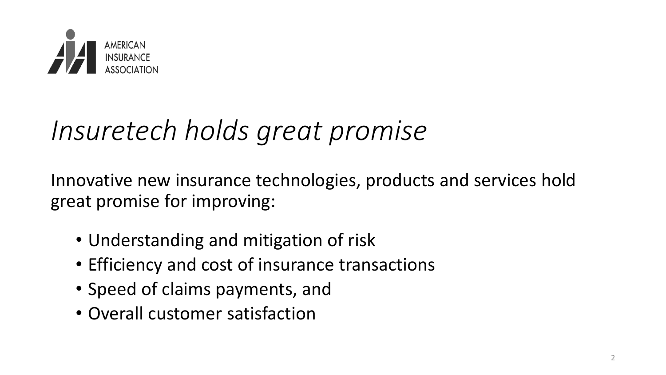

### *Insuretech holds great promise*

Innovative new insurance technologies, products and services hold great promise for improving:

- Understanding and mitigation of risk
- Efficiency and cost of insurance transactions
- Speed of claims payments, and
- Overall customer satisfaction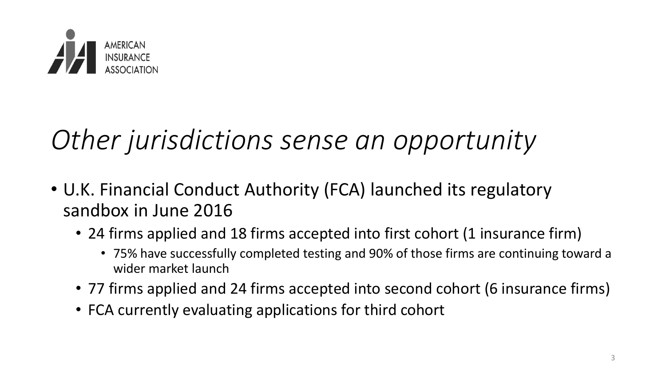

- U.K. Financial Conduct Authority (FCA) launched its regulatory sandbox in June 2016
	- 24 firms applied and 18 firms accepted into first cohort (1 insurance firm)
		- 75% have successfully completed testing and 90% of those firms are continuing toward a wider market launch
	- 77 firms applied and 24 firms accepted into second cohort (6 insurance firms)
	- FCA currently evaluating applications for third cohort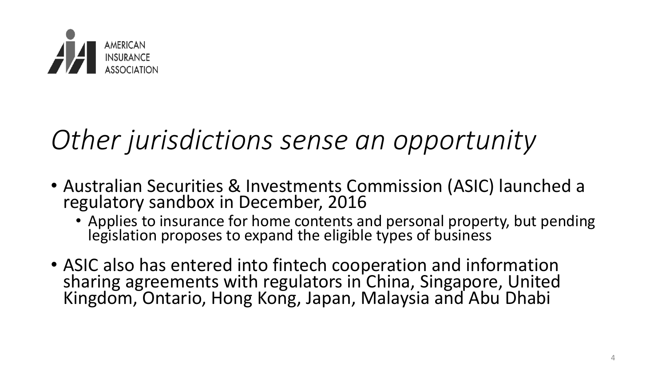

- Australian Securities & Investments Commission (ASIC) launched a regulatory sandbox in December, 2016
	- Applies to insurance for home contents and personal property, but pending legislation proposes to expand the eligible types of business
- ASIC also has entered into fintech cooperation and information sharing agreements with regulators in China, Singapore, United Kingdom, Ontario, Hong Kong, Japan, Malaysia and Abu Dhabi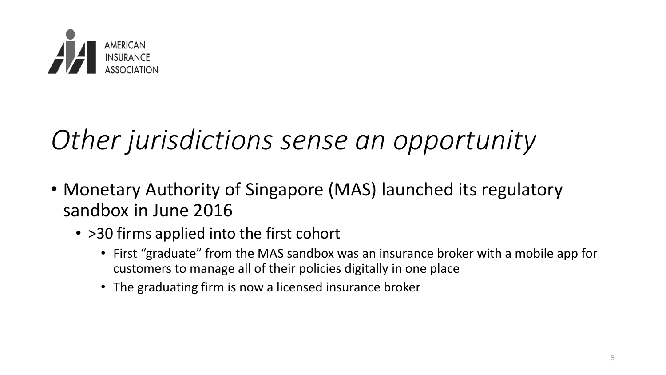

- Monetary Authority of Singapore (MAS) launched its regulatory sandbox in June 2016
	- > 30 firms applied into the first cohort
		- First "graduate" from the MAS sandbox was an insurance broker with a mobile app for customers to manage all of their policies digitally in one place
		- The graduating firm is now a licensed insurance broker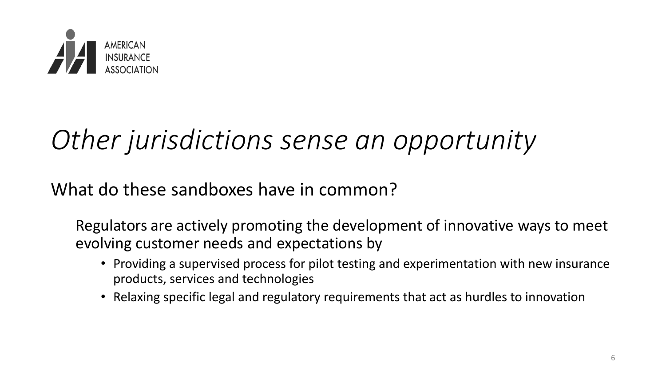

What do these sandboxes have in common?

Regulators are actively promoting the development of innovative ways to meet evolving customer needs and expectations by

- Providing a supervised process for pilot testing and experimentation with new insurance products, services and technologies
- Relaxing specific legal and regulatory requirements that act as hurdles to innovation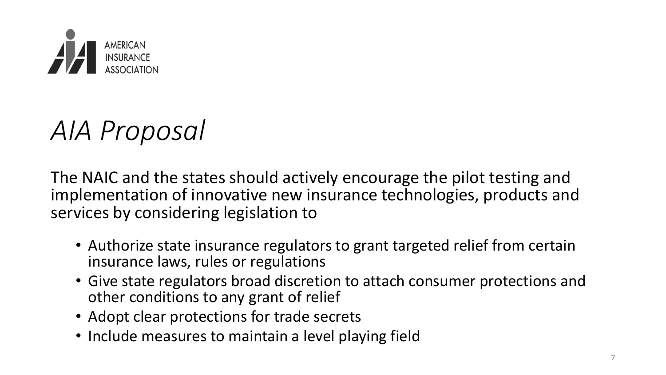

#### *AIA Proposal*

The NAIC and the states should actively encourage the pilot testing and implementation of innovative new insurance technologies, products and services by considering legislation to

- Authorize state insurance regulators to grant targeted relief from certain insurance laws, rules or regulations
- Give state regulators broad discretion to attach consumer protections and other conditions to any grant of relief
- Adopt clear protections for trade secrets
- Include measures to maintain a level playing field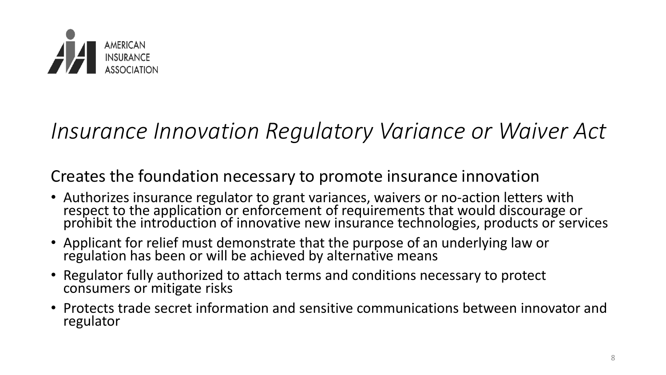

#### *Insurance Innovation Regulatory Variance or Waiver Act*

Creates the foundation necessary to promote insurance innovation

- Authorizes insurance regulator to grant variances, waivers or no-action letters with respect to the application or enforcement of requirements that would discourage or prohibit the introduction of innovative new insurance technologies, products or services
- Applicant for relief must demonstrate that the purpose of an underlying law or regulation has been or will be achieved by alternative means
- Regulator fully authorized to attach terms and conditions necessary to protect consumers or mitigate risks
- Protects trade secret information and sensitive communications between innovator and regulator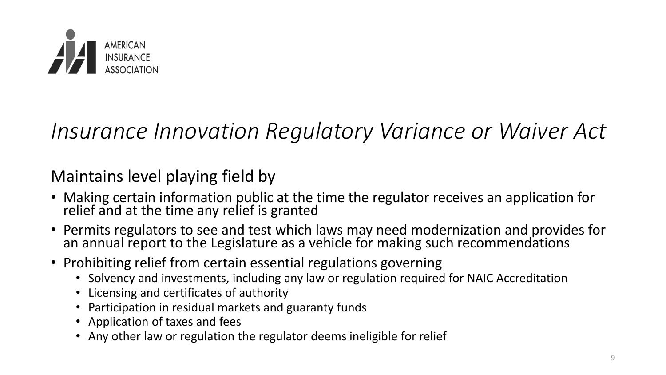

#### *Insurance Innovation Regulatory Variance or Waiver Act*

#### Maintains level playing field by

- Making certain information public at the time the regulator receives an application for relief and at the time any relief is granted
- Permits regulators to see and test which laws may need modernization and provides for an annual report to the Legislature as a vehicle for making such recommendations
- Prohibiting relief from certain essential regulations governing
	- Solvency and investments, including any law or regulation required for NAIC Accreditation
	- Licensing and certificates of authority
	- Participation in residual markets and guaranty funds
	- Application of taxes and fees
	- Any other law or regulation the regulator deems ineligible for relief